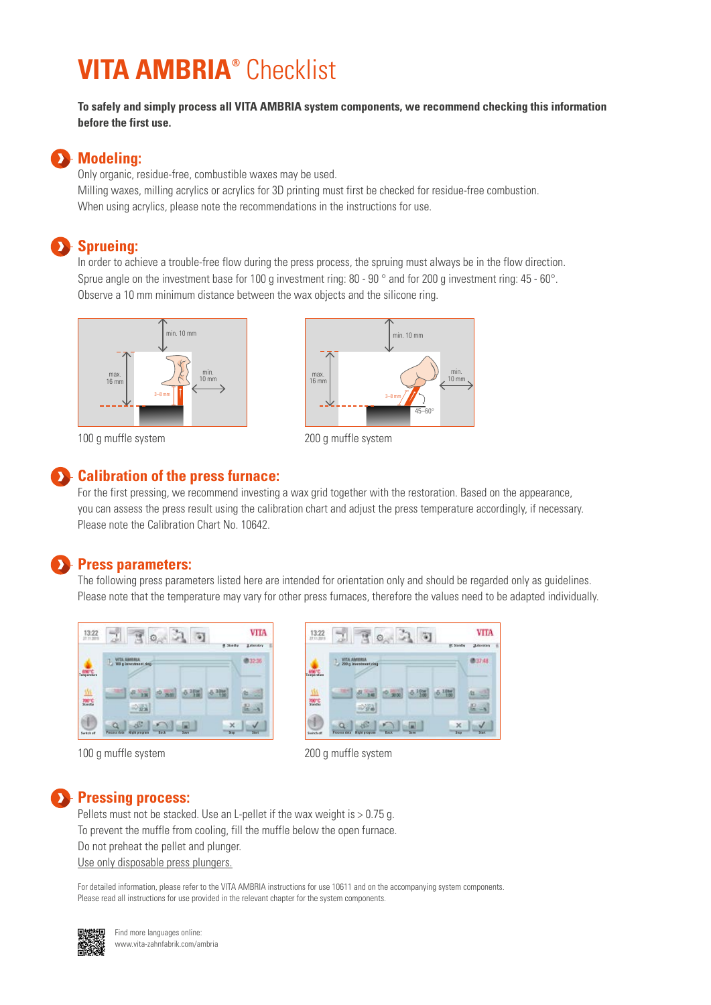# **VITA AMBRIA®** Checklist

**To safely and simply process all VITA AMBRIA system components, we recommend checking this information before the first use.**

## **Modeling:**

Only organic, residue-free, combustible waxes may be used. Milling waxes, milling acrylics or acrylics for 3D printing must first be checked for residue-free combustion. When using acrylics, please note the recommendations in the instructions for use.

### **Sprueing:**

In order to achieve a trouble-free flow during the press process, the spruing must always be in the flow direction. Sprue angle on the investment base for 100 g investment ring: 80 - 90 ° and for 200 g investment ring: 45 - 60°. Observe a 10 mm minimum distance between the wax objects and the silicone ring.



100 g muffle system



200 g muffle system

# **EXP** Calibration of the press furnace:

For the first pressing, we recommend investing a wax grid together with the restoration. Based on the appearance, you can assess the press result using the calibration chart and adjust the press temperature accordingly, if necessary. Please note the Calibration Chart No. 10642.

### **Press parameters:**

The following press parameters listed here are intended for orientation only and should be regarded only as guidelines. Please note that the temperature may vary for other press furnaces, therefore the values need to be adapted individually.



100 g muffle system 200 g muffle system



#### **Pressing process:**

Pellets must not be stacked. Use an L-pellet if the wax weight is  $> 0.75$  g. To prevent the muffle from cooling, fill the muffle below the open furnace. Do not preheat the pellet and plunger. Use only disposable press plungers.

For detailed information, please refer to the VITA AMBRIA instructions for use 10611 and on the accompanying system components. Please read all instructions for use provided in the relevant chapter for the system components.